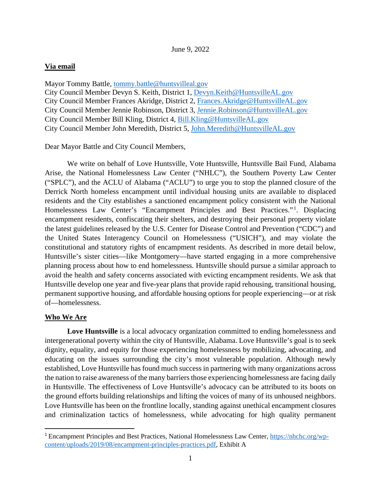# **Via email**

Mayor Tommy Battle, [tommy.battle@huntsvilleal.gov](mailto:tommy.battle@huntsvilleal.gov) City Council Member Devyn S. Keith, District 1, [Devyn.Keith@HuntsvilleAL.gov](mailto:Devyn.Keith@HuntsvilleAL.gov) City Council Member Frances Akridge, District 2, [Frances.Akridge@HuntsvilleAL.gov](mailto:Frances.Akridge@HuntsvilleAL.gov) City Council Member Jennie Robinson, District 3, [Jennie.Robinson@HuntsvilleAL.gov](mailto:Jennie.Robinson@HuntsvilleAL.gov) City Council Member Bill Kling, District 4, [Bill.Kling@HuntsvilleAL.gov](mailto:Bill.Kling@HuntsvilleAL.gov) City Council Member John Meredith, District 5, [John.Meredith@HuntsvilleAL.gov](mailto:John.Meredith@HuntsvilleAL.gov)

Dear Mayor Battle and City Council Members,

We write on behalf of Love Huntsville, Vote Huntsville, Huntsville Bail Fund, Alabama Arise, the National Homelessness Law Center ("NHLC"), the Southern Poverty Law Center ("SPLC"), and the ACLU of Alabama ("ACLU") to urge you to stop the planned closure of the Derrick North homeless encampment until individual housing units are available to displaced residents and the City establishes a sanctioned encampment policy consistent with the National Homelessness Law Center's "Encampment Principles and Best Practices.". Displacing encampment residents, confiscating their shelters, and destroying their personal property violate the latest guidelines released by the U.S. Center for Disease Control and Prevention ("CDC") and the United States Interagency Council on Homelessness ("USICH"), and may violate the constitutional and statutory rights of encampment residents. As described in more detail below, Huntsville's sister cities—like Montgomery—have started engaging in a more comprehensive planning process about how to end homelessness. Huntsville should pursue a similar approach to avoid the health and safety concerns associated with evicting encampment residents. We ask that Huntsville develop one year and five-year plans that provide rapid rehousing, transitional housing, permanent supportive housing, and affordable housing options for people experiencing—or at risk of—homelessness.

# **Who We Are**

**Love Huntsville** is a local advocacy organization committed to ending homelessness and intergenerational poverty within the city of Huntsville, Alabama. Love Huntsville's goal is to seek dignity, equality, and equity for those experiencing homelessness by mobilizing, advocating, and educating on the issues surrounding the city's most vulnerable population. Although newly established, Love Huntsville has found much success in partnering with many organizations across the nation to raise awareness of the many barriers those experiencing homelessness are facing daily in Huntsville. The effectiveness of Love Huntsville's advocacy can be attributed to its boots on the ground efforts building relationships and lifting the voices of many of its unhoused neighbors. Love Huntsville has been on the frontline locally, standing against unethical encampment closures and criminalization tactics of homelessness, while advocating for high quality permanent

<sup>1</sup> Encampment Principles and Best Practices, National Homelessness Law Center, [https://nhchc.org/wp](https://nhchc.org/wp-content/uploads/2019/08/encampment-principles-practices.pdf)[content/uploads/2019/08/encampment-principles-practices.pdf,](https://nhchc.org/wp-content/uploads/2019/08/encampment-principles-practices.pdf) Exhibit A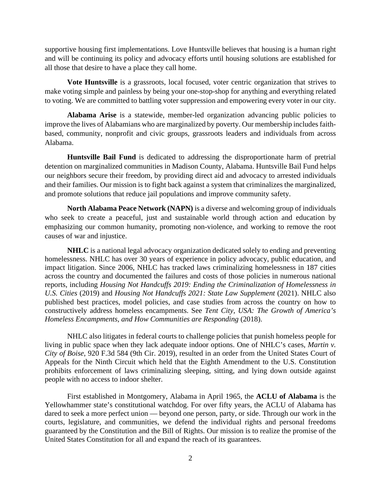supportive housing first implementations. Love Huntsville believes that housing is a human right and will be continuing its policy and advocacy efforts until housing solutions are established for all those that desire to have a place they call home.

**Vote Huntsville** is a grassroots, local focused, voter centric organization that strives to make voting simple and painless by being your one-stop-shop for anything and everything related to voting. We are committed to battling voter suppression and empowering every voter in our city.

**Alabama Arise** is a statewide, member-led organization advancing public policies to improve the lives of Alabamians who are marginalized by poverty. Our membership includes faithbased, community, nonprofit and civic groups, grassroots leaders and individuals from across Alabama.

**Huntsville Bail Fund** is dedicated to addressing the disproportionate harm of pretrial detention on marginalized communities in Madison County, Alabama. Huntsville Bail Fund helps our neighbors secure their freedom, by providing direct aid and advocacy to arrested individuals and their families. Our mission is to fight back against a system that criminalizes the marginalized, and promote solutions that reduce jail populations and improve community safety.

**North Alabama Peace Network (NAPN)** is a diverse and welcoming group of individuals who seek to create a peaceful, just and sustainable world through action and education by emphasizing our common humanity, promoting non-violence, and working to remove the root causes of war and injustice.

**NHLC** is a national legal advocacy organization dedicated solely to ending and preventing homelessness. NHLC has over 30 years of experience in policy advocacy, public education, and impact litigation. Since 2006, NHLC has tracked laws criminalizing homelessness in 187 cities across the country and documented the failures and costs of those policies in numerous national reports, including *Housing Not Handcuffs 2019: Ending the Criminalization of Homelessness in U.S. Cities* (2019) and *Housing Not Handcuffs 2021: State Law Supplement* (2021). NHLC also published best practices, model policies, and case studies from across the country on how to constructively address homeless encampments. See *Tent City, USA: The Growth of America's Homeless Encampments, and How Communities are Responding* (2018).

NHLC also litigates in federal courts to challenge policies that punish homeless people for living in public space when they lack adequate indoor options. One of NHLC's cases, *Martin v. City of Boise*, 920 F.3d 584 (9th Cir. 2019), resulted in an order from the United States Court of Appeals for the Ninth Circuit which held that the Eighth Amendment to the U.S. Constitution prohibits enforcement of laws criminalizing sleeping, sitting, and lying down outside against people with no access to indoor shelter.

First established in Montgomery, Alabama in April 1965, the **ACLU of Alabama** is the Yellowhammer state's constitutional watchdog. For over fifty years, the ACLU of Alabama has dared to seek a more perfect union — beyond one person, party, or side. Through our work in the courts, legislature, and communities, we defend the individual rights and personal freedoms guaranteed by the Constitution and the Bill of Rights. Our mission is to realize the promise of the United States Constitution for all and expand the reach of its guarantees.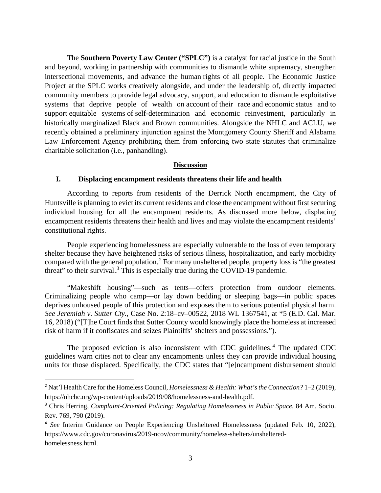The **Southern Poverty Law Center ("SPLC")** is a catalyst for racial justice in the South and beyond, working in partnership with communities to dismantle white supremacy, strengthen intersectional movements, and advance the human rights of all people. The Economic Justice Project at the SPLC works creatively alongside, and under the leadership of, directly impacted community members to provide legal advocacy, support, and education to dismantle exploitative systems that deprive people of wealth on account of their race and economic status and to support equitable systems of self-determination and economic reinvestment, particularly in historically marginalized Black and Brown communities. Alongside the NHLC and ACLU, we recently obtained a preliminary injunction against the Montgomery County Sheriff and Alabama Law Enforcement Agency prohibiting them from enforcing two state statutes that criminalize charitable solicitation (i.e., panhandling).

### **Discussion**

### **I. Displacing encampment residents threatens their life and health**

According to reports from residents of the Derrick North encampment, the City of Huntsville is planning to evict its current residents and close the encampment without first securing individual housing for all the encampment residents. As discussed more below, displacing encampment residents threatens their health and lives and may violate the encampment residents' constitutional rights.

People experiencing homelessness are especially vulnerable to the loss of even temporary shelter because they have heightened risks of serious illness, hospitalization, and early morbidity compared with the general population.<sup>2</sup> For many unsheltered people, property loss is "the greatest threat" to their survival.<sup>3</sup> This is especially true during the COVID-19 pandemic.

"Makeshift housing"—such as tents—offers protection from outdoor elements. Criminalizing people who camp—or lay down bedding or sleeping bags—in public spaces deprives unhoused people of this protection and exposes them to serious potential physical harm. *See Jeremiah v. Sutter Cty.*, Case No. 2:18–cv–00522, 2018 WL 1367541, at \*5 (E.D. Cal. Mar. 16, 2018) ("[T]he Court finds that Sutter County would knowingly place the homeless at increased risk of harm if it confiscates and seizes Plaintiffs' shelters and possessions.").

The proposed eviction is also inconsistent with CDC guidelines.<sup>4</sup> The updated CDC guidelines warn cities not to clear any encampments unless they can provide individual housing units for those displaced. Specifically, the CDC states that "[e]ncampment disbursement should

<sup>&</sup>lt;sup>2</sup> Nat'l Health Care for the Homeless Council, *Homelessness & Health: What's the Connection?* 1–2 (2019), https://nhchc.org/wp-content/uploads/2019/08/homelessness-and-health.pdf.

<sup>3</sup> Chris Herring, *Complaint-Oriented Policing: Regulating Homelessness in Public Space*, 84 Am. Socio. Rev. 769, 790 (2019).

<sup>4</sup> *See* Interim Guidance on People Experiencing Unsheltered Homelessness (updated Feb. 10, 2022), https://www.cdc.gov/coronavirus/2019-ncov/community/homeless-shelters/unshelteredhomelessness.html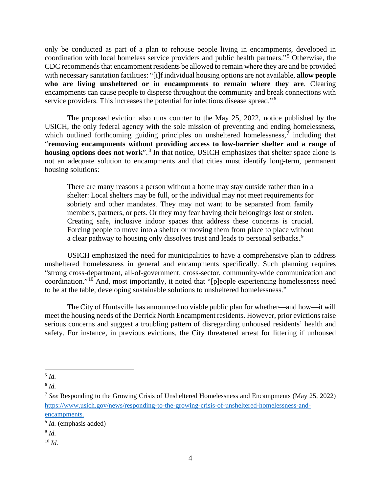only be conducted as part of a plan to rehouse people living in encampments, developed in coordination with local homeless service providers and public health partners."<sup>5</sup> Otherwise, the CDC recommends that encampment residents be allowed to remain where they are and be provided with necessary sanitation facilities: "[i]f individual housing options are not available, **allow people who are living unsheltered or in encampments to remain where they are**. Clearing encampments can cause people to disperse throughout the community and break connections with service providers. This increases the potential for infectious disease spread."<sup>6</sup>

The proposed eviction also runs counter to the May 25, 2022, notice published by the USICH, the only federal agency with the sole mission of preventing and ending homelessness, which outlined forthcoming guiding principles on unsheltered homelessness, $<sup>7</sup>$  including that</sup> "**removing encampments without providing access to low-barrier shelter and a range of**  housing options does not work".<sup>8</sup> In that notice, USICH emphasizes that shelter space alone is not an adequate solution to encampments and that cities must identify long-term, permanent housing solutions:

There are many reasons a person without a home may stay outside rather than in a shelter: Local shelters may be full, or the individual may not meet requirements for sobriety and other mandates. They may not want to be separated from family members, partners, or pets. Or they may fear having their belongings lost or stolen. Creating safe, inclusive indoor spaces that address these concerns is crucial. Forcing people to move into a shelter or moving them from place to place without a clear pathway to housing only dissolves trust and leads to personal setbacks.<sup>9</sup>

USICH emphasized the need for municipalities to have a comprehensive plan to address unsheltered homelessness in general and encampments specifically. Such planning requires "strong cross-department, all-of-government, cross-sector, community-wide communication and coordination."<sup>10</sup> And, most importantly, it noted that "[p]eople experiencing homelessness need to be at the table, developing sustainable solutions to unsheltered homelessness."

The City of Huntsville has announced no viable public plan for whether—and how—it will meet the housing needs of the Derrick North Encampment residents. However, prior evictions raise serious concerns and suggest a troubling pattern of disregarding unhoused residents' health and safety. For instance, in previous evictions, the City threatened arrest for littering if unhoused

<sup>9</sup> *Id.*

<sup>5</sup> *Id.*

<sup>6</sup> *Id.*

<sup>7</sup> *See* Responding to the Growing Crisis of Unsheltered Homelessness and Encampments (May 25, 2022) [https://www.usich.gov/news/responding-to-the-growing-crisis-of-unsheltered-homelessness-and](https://www.usich.gov/news/responding-to-the-growing-crisis-of-unsheltered-homelessness-and-encampments)[encampments.](https://www.usich.gov/news/responding-to-the-growing-crisis-of-unsheltered-homelessness-and-encampments)

<sup>8</sup> *Id.* (emphasis added)

<sup>10</sup> *Id.*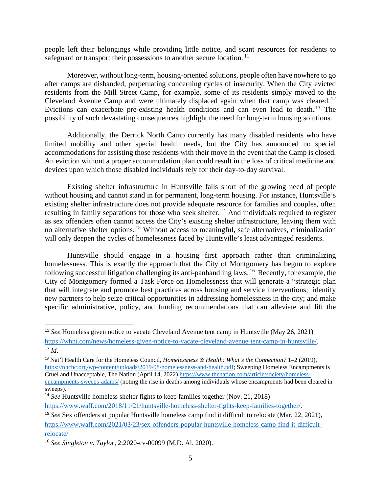people left their belongings while providing little notice, and scant resources for residents to safeguard or transport their possessions to another secure location.<sup>11</sup>

Moreover, without long-term, housing-oriented solutions, people often have nowhere to go after camps are disbanded, perpetuating concerning cycles of insecurity. When the City evicted residents from the Mill Street Camp, for example, some of its residents simply moved to the Cleveland Avenue Camp and were ultimately displaced again when that camp was cleared.<sup>12</sup> Evictions can exacerbate pre-existing health conditions and can even lead to death.<sup>13</sup> The possibility of such devastating consequences highlight the need for long-term housing solutions.

Additionally, the Derrick North Camp currently has many disabled residents who have limited mobility and other special health needs, but the City has announced no special accommodations for assisting those residents with their move in the event that the Camp is closed. An eviction without a proper accommodation plan could result in the loss of critical medicine and devices upon which those disabled individuals rely for their day-to-day survival.

Existing shelter infrastructure in Huntsville falls short of the growing need of people without housing and cannot stand in for permanent, long-term housing. For instance, Huntsville's existing shelter infrastructure does not provide adequate resource for families and couples, often resulting in family separations for those who seek shelter.<sup>14</sup> And individuals required to register as sex offenders often cannot access the City's existing shelter infrastructure, leaving them with no alternative shelter options.<sup>15</sup> Without access to meaningful, safe alternatives, criminalization will only deepen the cycles of homelessness faced by Huntsville's least advantaged residents.

Huntsville should engage in a housing first approach rather than criminalizing homelessness. This is exactly the approach that the City of Montgomery has begun to explore following successful litigation challenging its anti-panhandling laws.<sup>16</sup> Recently, for example, the City of Montgomery formed a Task Force on Homelessness that will generate a "strategic plan that will integrate and promote best practices across housing and service interventions; identify new partners to help seize critical opportunities in addressing homelessness in the city; and make specific administrative, policy, and funding recommendations that can alleviate and lift the

<sup>&</sup>lt;sup>11</sup> See Homeless given notice to vacate Cleveland Avenue tent camp in Huntsville (May 26, 2021) [https://whnt.com/news/homeless-given-notice-to-vacate-cleveland-avenue-tent-camp-in-huntsville/.](https://whnt.com/news/homeless-given-notice-to-vacate-cleveland-avenue-tent-camp-in-huntsville/)  $12$  *Id.* 

<sup>13</sup> Nat'l Health Care for the Homeless Council, *Homelessness & Health: What's the Connection?* 1–2 (2019), [https://nhchc.org/wp-content/uploads/2019/08/homelessness-and-health.pdf;](https://nhchc.org/wp-content/uploads/2019/08/homelessness-and-health.pdf) Sweeping Homeless Encampments is

Cruel and Unacceptable, The Nation (April 14, 2022[\) https://www.thenation.com/article/society/homeless-](https://www.thenation.com/article/society/homeless-encampments-sweeps-adams/)

[encampments-sweeps-adams/](https://www.thenation.com/article/society/homeless-encampments-sweeps-adams/) (noting the rise in deaths among individuals whose encampments had been cleared in sweeps).

<sup>14</sup> *See* Huntsville homeless shelter fights to keep families together (Nov. 21, 2018)

[https://www.waff.com/2018/11/21/huntsville-homeless-shelter-fights-keep-families-together/.](https://www.waff.com/2018/11/21/huntsville-homeless-shelter-fights-keep-families-together/)

<sup>15</sup> *See* Sex offenders at popular Huntsville homeless camp find it difficult to relocate (Mar. 22, 2021), [https://www.waff.com/2021/03/23/sex-offenders-popular-huntsville-homeless-camp-find-it-difficult](https://www.waff.com/2021/03/23/sex-offenders-popular-huntsville-homeless-camp-find-it-difficult-relocate/)[relocate/](https://www.waff.com/2021/03/23/sex-offenders-popular-huntsville-homeless-camp-find-it-difficult-relocate/)

<sup>16</sup> *See Singleton v. Taylor*, 2:2020-cv-00099 (M.D. Al. 2020).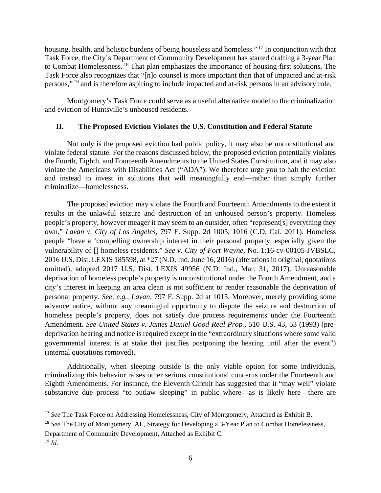housing, health, and holistic burdens of being houseless and homeless."<sup>17</sup> In conjunction with that Task Force, the City's Department of Community Development has started drafting a 3-year Plan to Combat Homelessness.<sup>18</sup> That plan emphasizes the importance of housing-first solutions. The Task Force also recognizes that "[n]o counsel is more important than that of impacted and at-risk persons,"<sup>19</sup> and is therefore aspiring to include impacted and at-risk persons in an advisory role.

Montgomery's Task Force could serve as a useful alternative model to the criminalization and eviction of Huntsville's unhoused residents.

## **II. The Proposed Eviction Violates the U.S. Constitution and Federal Statute**

Not only is the proposed eviction bad public policy, it may also be unconstitutional and violate federal statute. For the reasons discussed below, the proposed eviction potentially violates the Fourth, Eighth, and Fourteenth Amendments to the United States Constitution, and it may also violate the Americans with Disabilities Act ("ADA"). We therefore urge you to halt the eviction and instead to invest in solutions that will meaningfully end—rather than simply further criminalize—homelessness.

The proposed eviction may violate the Fourth and Fourteenth Amendments to the extent it results in the unlawful seizure and destruction of an unhoused person's property*.* Homeless people's property, however meager it may seem to an outsider, often "represent[s] everything they own." *Lavan v. City of Los Angeles*, 797 F. Supp. 2d 1005, 1016 (C.D. Cal. 2011). Homeless people "have a 'compelling ownership interest in their personal property, especially given the vulnerability of [] homeless residents." *See v. City of Fort Wayne*, No. 1:16-cv-00105-JVBSLC, 2016 U.S. Dist. LEXIS 185598, at \*27 (N.D. Ind. June 16, 2016) (alterations in original; quotations omitted), adopted 2017 U.S. Dist. LEXIS 49956 (N.D. Ind., Mar. 31, 2017). Unreasonable deprivation of homeless people's property is unconstitutional under the Fourth Amendment, and a city's interest in keeping an area clean is not sufficient to render reasonable the deprivation of personal property. *See, e.g., Lavan*, 797 F. Supp. 2d at 1015. Moreover, merely providing some advance notice, without any meaningful opportunity to dispute the seizure and destruction of homeless people's property, does not satisfy due process requirements under the Fourteenth Amendment. *See United States v. James Daniel Good Real Prop.*, 510 U.S. 43, 53 (1993) (predeprivation hearing and notice is required except in the "extraordinary situations where some valid governmental interest is at stake that justifies postponing the hearing until after the event") (internal quotations removed).

Additionally, when sleeping outside is the only viable option for some individuals, criminalizing this behavior raises other serious constitutional concerns under the Fourteenth and Eighth Amendments. For instance, the Eleventh Circuit has suggested that it "may well" violate substantive due process "to outlaw sleeping" in public where—as is likely here—there are

Department of Community Development, Attached as Exhibit C. <sup>19</sup> *Id.*

<sup>&</sup>lt;sup>17</sup> See The Task Force on Addressing Homelessness, City of Montgomery, Attached as Exhibit B.

<sup>&</sup>lt;sup>18</sup> *See* The City of Montgomery, AL, Strategy for Developing a 3-Year Plan to Combat Homelessness,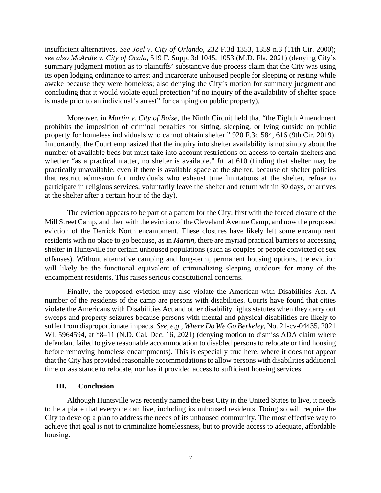insufficient alternatives. *See Joel v. City of Orlando*, 232 F.3d 1353, 1359 n.3 (11th Cir. 2000); *see also McArdle v. City of Ocala*, 519 F. Supp. 3d 1045, 1053 (M.D. Fla. 2021) (denying City's summary judgment motion as to plaintiffs' substantive due process claim that the City was using its open lodging ordinance to arrest and incarcerate unhoused people for sleeping or resting while awake because they were homeless; also denying the City's motion for summary judgment and concluding that it would violate equal protection "if no inquiry of the availability of shelter space is made prior to an individual's arrest" for camping on public property).

Moreover, in *Martin v. City of Boise*, the Ninth Circuit held that "the Eighth Amendment prohibits the imposition of criminal penalties for sitting, sleeping, or lying outside on public property for homeless individuals who cannot obtain shelter." 920 F.3d 584, 616 (9th Cir. 2019). Importantly, the Court emphasized that the inquiry into shelter availability is not simply about the number of available beds but must take into account restrictions on access to certain shelters and whether "as a practical matter, no shelter is available." *Id.* at 610 (finding that shelter may be practically unavailable, even if there is available space at the shelter, because of shelter policies that restrict admission for individuals who exhaust time limitations at the shelter, refuse to participate in religious services, voluntarily leave the shelter and return within 30 days, or arrives at the shelter after a certain hour of the day).

The eviction appears to be part of a pattern for the City: first with the forced closure of the Mill Street Camp, and then with the eviction of the Cleveland Avenue Camp, and now the proposed eviction of the Derrick North encampment. These closures have likely left some encampment residents with no place to go because, as in *Martin*, there are myriad practical barriers to accessing shelter in Huntsville for certain unhoused populations (such as couples or people convicted of sex offenses). Without alternative camping and long-term, permanent housing options, the eviction will likely be the functional equivalent of criminalizing sleeping outdoors for many of the encampment residents. This raises serious constitutional concerns.

Finally, the proposed eviction may also violate the American with Disabilities Act. A number of the residents of the camp are persons with disabilities. Courts have found that cities violate the Americans with Disabilities Act and other disability rights statutes when they carry out sweeps and property seizures because persons with mental and physical disabilities are likely to suffer from disproportionate impacts. *See, e.g.*, *Where Do We Go Berkeley*, No. 21-cv-04435, 2021 WL 5964594, at \*8–11 (N.D. Cal. Dec. 16, 2021) (denying motion to dismiss ADA claim where defendant failed to give reasonable accommodation to disabled persons to relocate or find housing before removing homeless encampments). This is especially true here, where it does not appear that the City has provided reasonable accommodations to allow persons with disabilities additional time or assistance to relocate, nor has it provided access to sufficient housing services.

### **III. Conclusion**

Although Huntsville was recently named the best City in the United States to live, it needs to be a place that everyone can live, including its unhoused residents. Doing so will require the City to develop a plan to address the needs of its unhoused community. The most effective way to achieve that goal is not to criminalize homelessness, but to provide access to adequate, affordable housing.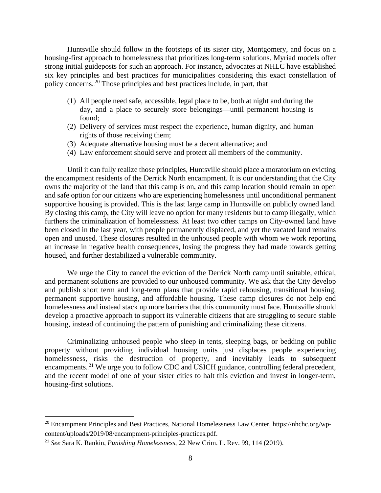Huntsville should follow in the footsteps of its sister city, Montgomery, and focus on a housing-first approach to homelessness that prioritizes long-term solutions. Myriad models offer strong initial guideposts for such an approach. For instance, advocates at NHLC have established six key principles and best practices for municipalities considering this exact constellation of policy concerns.<sup>20</sup> Those principles and best practices include, in part, that

- (1) All people need safe, accessible, legal place to be, both at night and during the day, and a place to securely store belongings—until permanent housing is found;
- (2) Delivery of services must respect the experience, human dignity, and human rights of those receiving them;
- (3) Adequate alternative housing must be a decent alternative; and
- (4) Law enforcement should serve and protect all members of the community.

Until it can fully realize those principles, Huntsville should place a moratorium on evicting the encampment residents of the Derrick North encampment. It is our understanding that the City owns the majority of the land that this camp is on, and this camp location should remain an open and safe option for our citizens who are experiencing homelessness until unconditional permanent supportive housing is provided. This is the last large camp in Huntsville on publicly owned land. By closing this camp, the City will leave no option for many residents but to camp illegally, which furthers the criminalization of homelessness. At least two other camps on City-owned land have been closed in the last year, with people permanently displaced, and yet the vacated land remains open and unused. These closures resulted in the unhoused people with whom we work reporting an increase in negative health consequences, losing the progress they had made towards getting housed, and further destabilized a vulnerable community.

We urge the City to cancel the eviction of the Derrick North camp until suitable, ethical, and permanent solutions are provided to our unhoused community. We ask that the City develop and publish short term and long-term plans that provide rapid rehousing, transitional housing, permanent supportive housing, and affordable housing. These camp closures do not help end homelessness and instead stack up more barriers that this community must face. Huntsville should develop a proactive approach to support its vulnerable citizens that are struggling to secure stable housing, instead of continuing the pattern of punishing and criminalizing these citizens.

Criminalizing unhoused people who sleep in tents, sleeping bags, or bedding on public property without providing individual housing units just displaces people experiencing homelessness, risks the destruction of property, and inevitably leads to subsequent encampments.<sup>21</sup> We urge you to follow CDC and USICH guidance, controlling federal precedent, and the recent model of one of your sister cities to halt this eviction and invest in longer-term, housing-first solutions.

<sup>&</sup>lt;sup>20</sup> Encampment Principles and Best Practices, National Homelessness Law Center, https://nhchc.org/wpcontent/uploads/2019/08/encampment-principles-practices.pdf.

<sup>21</sup> *See* Sara K. Rankin, *Punishing Homelessness*, 22 New Crim. L. Rev. 99, 114 (2019).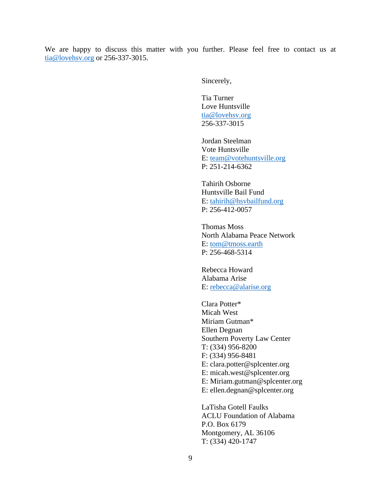We are happy to discuss this matter with you further. Please feel free to contact us at [tia@lovehsv.org](mailto:tia@lovehsv.org) or 256-337-3015.

Sincerely,

Tia Turner Love Huntsville [tia@lovehsv.org](mailto:tia@lovehsv.org) 256-337-3015

Jordan Steelman Vote Huntsville E: [team@votehuntsville.org](mailto:team@votehuntsville.org) P: 251-214-6362

Tahirih Osborne Huntsville Bail Fund E: [tahirih@hsvbailfund.org](mailto:tahirih@hsvbailfund.org) P: 256-412-0057

Thomas Moss North Alabama Peace Network E: [tom@tmoss.earth](mailto:tom@tmoss.earth) P: 256-468-5314

Rebecca Howard Alabama Arise E: [rebecca@alarise.org](mailto:rebecca@alarise.org)

Clara Potter\* Micah West Miriam Gutman\* Ellen Degnan Southern Poverty Law Center T: (334) 956-8200 F: (334) 956-8481 E: clara.potter@splcenter.org E: micah.west@splcenter.org E: Miriam.gutman@splcenter.org E: ellen.degnan@splcenter.org

LaTisha Gotell Faulks ACLU Foundation of Alabama P.O. Box 6179 Montgomery, AL 36106 T: (334) 420-1747